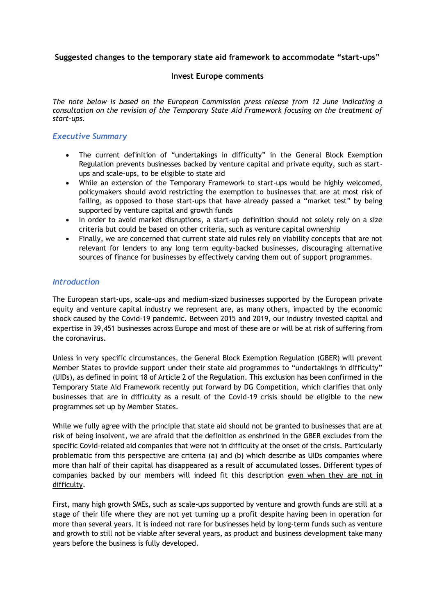**Suggested changes to the temporary state aid framework to accommodate "start-ups"** 

#### **Invest Europe comments**

*The note below is based on the European Commission press release from 12 June indicating a consultation on the revision of the Temporary State Aid Framework focusing on the treatment of start-ups.* 

## *Executive Summary*

- The current definition of "undertakings in difficulty" in the General Block Exemption Regulation prevents businesses backed by venture capital and private equity, such as startups and scale-ups, to be eligible to state aid
- While an extension of the Temporary Framework to start-ups would be highly welcomed, policymakers should avoid restricting the exemption to businesses that are at most risk of failing, as opposed to those start-ups that have already passed a "market test" by being supported by venture capital and growth funds
- In order to avoid market disruptions, a start-up definition should not solely rely on a size criteria but could be based on other criteria, such as venture capital ownership
- Finally, we are concerned that current state aid rules rely on viability concepts that are not relevant for lenders to any long term equity-backed businesses, discouraging alternative sources of finance for businesses by effectively carving them out of support programmes.

### *Introduction*

The European start-ups, scale-ups and medium-sized businesses supported by the European private equity and venture capital industry we represent are, as many others, impacted by the economic shock caused by the Covid-19 pandemic. Between 2015 and 2019, our industry invested capital and expertise in 39,451 businesses across Europe and most of these are or will be at risk of suffering from the coronavirus.

Unless in very specific circumstances, the General Block Exemption Regulation (GBER) will prevent Member States to provide support under their state aid programmes to "undertakings in difficulty" (UIDs), as defined in point 18 of Article 2 of the Regulation. This exclusion has been confirmed in the Temporary State Aid Framework recently put forward by DG Competition, which clarifies that only businesses that are in difficulty as a result of the Covid-19 crisis should be eligible to the new programmes set up by Member States.

While we fully agree with the principle that state aid should not be granted to businesses that are at risk of being insolvent, we are afraid that the definition as enshrined in the GBER excludes from the specific Covid-related aid companies that were not in difficulty at the onset of the crisis. Particularly problematic from this perspective are criteria (a) and (b) which describe as UIDs companies where more than half of their capital has disappeared as a result of accumulated losses. Different types of companies backed by our members will indeed fit this description even when they are not in difficulty.

First, many high growth SMEs, such as scale-ups supported by venture and growth funds are still at a stage of their life where they are not yet turning up a profit despite having been in operation for more than several years. It is indeed not rare for businesses held by long-term funds such as venture and growth to still not be viable after several years, as product and business development take many years before the business is fully developed.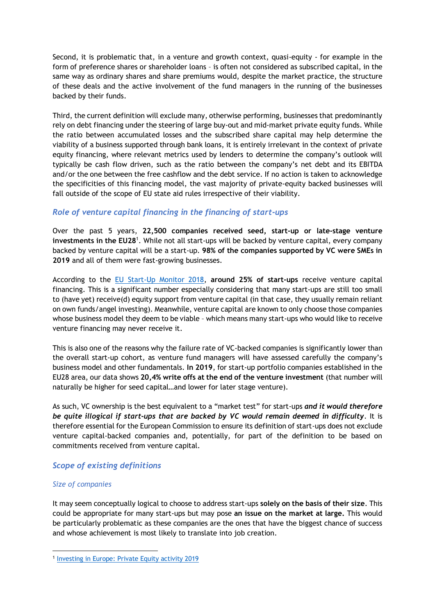Second, it is problematic that, in a venture and growth context, quasi-equity - for example in the form of preference shares or shareholder loans – is often not considered as subscribed capital, in the same way as ordinary shares and share premiums would, despite the market practice, the structure of these deals and the active involvement of the fund managers in the running of the businesses backed by their funds.

Third, the current definition will exclude many, otherwise performing, businesses that predominantly rely on debt financing under the steering of large buy-out and mid-market private equity funds. While the ratio between accumulated losses and the subscribed share capital may help determine the viability of a business supported through bank loans, it is entirely irrelevant in the context of private equity financing, where relevant metrics used by lenders to determine the company's outlook will typically be cash flow driven, such as the ratio between the company's net debt and its EBITDA and/or the one between the free cashflow and the debt service. If no action is taken to acknowledge the specificities of this financing model, the vast majority of private-equity backed businesses will fall outside of the scope of EU state aid rules irrespective of their viability.

# *Role of venture capital financing in the financing of start-ups*

Over the past 5 years, **22,500 companies received seed, start-up or late-stage venture investments in the EU28**<sup>1</sup> . While not all start-ups will be backed by venture capital, every company backed by venture capital will be a start-up. **98% of the companies supported by VC were SMEs in 2019** and all of them were fast-growing businesses.

According to the [EU Start-Up Monitor 2018,](http://startupmonitor.eu/EU-Startup-Monitor-2018-Report-WEB.pdf) **around 25% of start-ups** receive venture capital financing. This is a significant number especially considering that many start-ups are still too small to (have yet) receive(d) equity support from venture capital (in that case, they usually remain reliant on own funds/angel investing). Meanwhile, venture capital are known to only choose those companies whose business model they deem to be viable – which means many start-ups who would like to receive venture financing may never receive it.

This is also one of the reasons why the failure rate of VC-backed companies is significantly lower than the overall start-up cohort, as venture fund managers will have assessed carefully the company's business model and other fundamentals. **In 2019**, for start-up portfolio companies established in the EU28 area, our data shows **20,4% write offs at the end of the venture investment** (that number will naturally be higher for seed capital…and lower for later stage venture).

As such, VC ownership is the best equivalent to a "market test" for start-ups *and it would therefore be quite illogical if start-ups that are backed by VC would remain deemed in difficulty*. It is therefore essential for the European Commission to ensure its definition of start-ups does not exclude venture capital-backed companies and, potentially, for part of the definition to be based on commitments received from venture capital.

# *Scope of existing definitions*

### *Size of companies*

It may seem conceptually logical to choose to address start-ups **solely on the basis of their size**. This could be appropriate for many start-ups but may pose **an issue on the market at large.** This would be particularly problematic as these companies are the ones that have the biggest chance of success and whose achievement is most likely to translate into job creation.

<sup>&</sup>lt;sup>1</sup> [Investing in Europe: Private Equity activity 2019](https://www.investeurope.eu/research/data-and-insight/?keyword=Investing%20in%20Europe:%20Private%20Equity%20activity%202019#search-filter-container)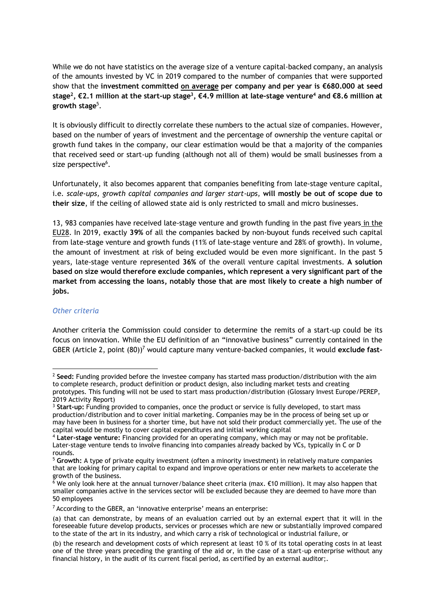While we do not have statistics on the average size of a venture capital-backed company, an analysis of the amounts invested by VC in 2019 compared to the number of companies that were supported show that the **investment committed on average per company and per year is €680.000 at seed stage<sup>2</sup> , €2.1 million at the start-up stage<sup>3</sup> , €4.9 million at late-stage venture<sup>4</sup> and €8.6 million at growth stage**<sup>5</sup> .

It is obviously difficult to directly correlate these numbers to the actual size of companies. However, based on the number of years of investment and the percentage of ownership the venture capital or growth fund takes in the company, our clear estimation would be that a majority of the companies that received seed or start-up funding (although not all of them) would be small businesses from a size perspective<sup>6</sup>.

Unfortunately, it also becomes apparent that companies benefiting from late-stage venture capital, i.e*. scale-ups, growth capital companies and larger start-ups,* **will mostly be out of scope due to their size**, if the ceiling of allowed state aid is only restricted to small and micro businesses.

13, 983 companies have received late-stage venture and growth funding in the past five years in the EU28. In 2019, exactly **39%** of all the companies backed by non-buyout funds received such capital from late-stage venture and growth funds (11% of late-stage venture and 28% of growth). In volume, the amount of investment at risk of being excluded would be even more significant. In the past 5 years, late-stage venture represented **36%** of the overall venture capital investments. **A solution based on size would therefore exclude companies, which represent a very significant part of the market from accessing the loans, notably those that are most likely to create a high number of jobs.** 

#### *Other criteria*

Another criteria the Commission could consider to determine the remits of a start-up could be its focus on innovation. While the EU definition of an "innovative business" currently contained in the GBER (Article 2, point (80))<sup>7</sup> would capture many venture-backed companies, it would **exclude fast-**

<sup>2</sup> **Seed:** Funding provided before the investee company has started mass production/distribution with the aim to complete research, product definition or product design, also including market tests and creating prototypes. This funding will not be used to start mass production/distribution (Glossary Invest Europe/PEREP, 2019 Activity Report)

<sup>&</sup>lt;sup>3</sup> Start-up: Funding provided to companies, once the product or service is fully developed, to start mass production/distribution and to cover initial marketing. Companies may be in the process of being set up or may have been in business for a shorter time, but have not sold their product commercially yet. The use of the capital would be mostly to cover capital expenditures and initial working capital

<sup>4</sup> **Later-stage venture:** Financing provided for an operating company, which may or may not be profitable. Later-stage venture tends to involve financing into companies already backed by VCs, typically in C or D rounds.

<sup>5</sup> **Growth:** A type of private equity investment (often a minority investment) in relatively mature companies that are looking for primary capital to expand and improve operations or enter new markets to accelerate the growth of the business.

 $^6$  We only look here at the annual turnover/balance sheet criteria (max. €10 million). It may also happen that smaller companies active in the services sector will be excluded because they are deemed to have more than 50 employees

<sup>7</sup> According to the GBER, an 'innovative enterprise' means an enterprise:

<sup>(</sup>a) that can demonstrate, by means of an evaluation carried out by an external expert that it will in the foreseeable future develop products, services or processes which are new or substantially improved compared to the state of the art in its industry, and which carry a risk of technological or industrial failure, or

<sup>(</sup>b) the research and development costs of which represent at least 10 % of its total operating costs in at least one of the three years preceding the granting of the aid or, in the case of a start-up enterprise without any financial history, in the audit of its current fiscal period, as certified by an external auditor;.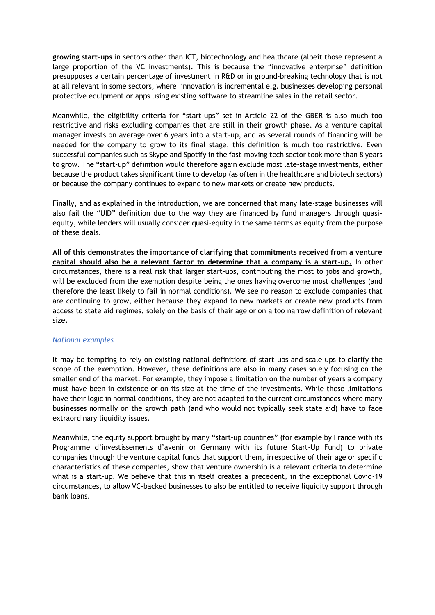**growing start-ups** in sectors other than ICT, biotechnology and healthcare (albeit those represent a large proportion of the VC investments). This is because the "innovative enterprise" definition presupposes a certain percentage of investment in R&D or in ground-breaking technology that is not at all relevant in some sectors, where innovation is incremental e.g. businesses developing personal protective equipment or apps using existing software to streamline sales in the retail sector.

Meanwhile, the eligibility criteria for "start-ups" set in Article 22 of the GBER is also much too restrictive and risks excluding companies that are still in their growth phase. As a venture capital manager invests on average over 6 years into a start-up, and as several rounds of financing will be needed for the company to grow to its final stage, this definition is much too restrictive. Even successful companies such as Skype and Spotify in the fast-moving tech sector took more than 8 years to grow. The "start-up" definition would therefore again exclude most late-stage investments, either because the product takes significant time to develop (as often in the healthcare and biotech sectors) or because the company continues to expand to new markets or create new products.

Finally, and as explained in the introduction, we are concerned that many late-stage businesses will also fail the "UID" definition due to the way they are financed by fund managers through quasiequity, while lenders will usually consider quasi-equity in the same terms as equity from the purpose of these deals.

**All of this demonstrates the importance of clarifying that commitments received from a venture capital should also be a relevant factor to determine that a company is a start-up.** In other circumstances, there is a real risk that larger start-ups, contributing the most to jobs and growth, will be excluded from the exemption despite being the ones having overcome most challenges (and therefore the least likely to fail in normal conditions). We see no reason to exclude companies that are continuing to grow, either because they expand to new markets or create new products from access to state aid regimes, solely on the basis of their age or on a too narrow definition of relevant size.

#### *National examples*

It may be tempting to rely on existing national definitions of start-ups and scale-ups to clarify the scope of the exemption. However, these definitions are also in many cases solely focusing on the smaller end of the market. For example, they impose a limitation on the number of years a company must have been in existence or on its size at the time of the investments. While these limitations have their logic in normal conditions, they are not adapted to the current circumstances where many businesses normally on the growth path (and who would not typically seek state aid) have to face extraordinary liquidity issues.

Meanwhile, the equity support brought by many "start-up countries" (for example by France with its Programme d'investissements d'avenir or Germany with its future Start-Up Fund) to private companies through the venture capital funds that support them, irrespective of their age or specific characteristics of these companies, show that venture ownership is a relevant criteria to determine what is a start-up. We believe that this in itself creates a precedent, in the exceptional Covid-19 circumstances, to allow VC-backed businesses to also be entitled to receive liquidity support through bank loans.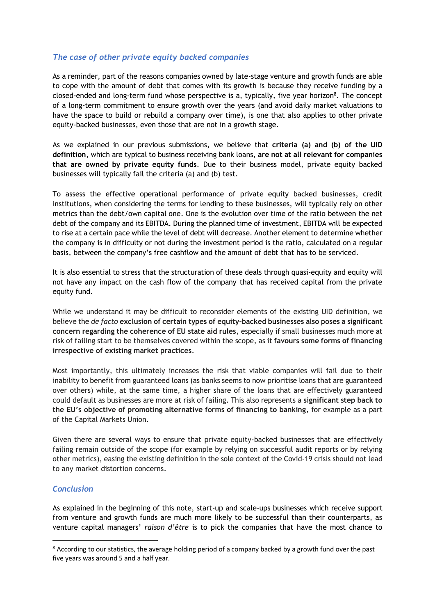## *The case of other private equity backed companies*

As a reminder, part of the reasons companies owned by late-stage venture and growth funds are able to cope with the amount of debt that comes with its growth is because they receive funding by a closed-ended and long-term fund whose perspective is a, typically, five year horizon<sup>8</sup>. The concept of a long-term commitment to ensure growth over the years (and avoid daily market valuations to have the space to build or rebuild a company over time), is one that also applies to other private equity-backed businesses, even those that are not in a growth stage.

As we explained in our previous submissions, we believe that **criteria (a) and (b) of the UID definition**, which are typical to business receiving bank loans, **are not at all relevant for companies that are owned by private equity funds**. Due to their business model, private equity backed businesses will typically fail the criteria (a) and (b) test.

To assess the effective operational performance of private equity backed businesses, credit institutions, when considering the terms for lending to these businesses, will typically rely on other metrics than the debt/own capital one. One is the evolution over time of the ratio between the net debt of the company and its EBITDA. During the planned time of investment, EBITDA will be expected to rise at a certain pace while the level of debt will decrease. Another element to determine whether the company is in difficulty or not during the investment period is the ratio, calculated on a regular basis, between the company's free cashflow and the amount of debt that has to be serviced.

It is also essential to stress that the structuration of these deals through quasi-equity and equity will not have any impact on the cash flow of the company that has received capital from the private equity fund.

While we understand it may be difficult to reconsider elements of the existing UID definition, we believe the *de facto* **exclusion of certain types of equity-backed businesses also poses a significant concern regarding the coherence of EU state aid rules**, especially if small businesses much more at risk of failing start to be themselves covered within the scope, as it **favours some forms of financing irrespective of existing market practices**.

Most importantly, this ultimately increases the risk that viable companies will fail due to their inability to benefit from guaranteed loans (as banks seems to now prioritise loans that are guaranteed over others) while, at the same time, a higher share of the loans that are effectively guaranteed could default as businesses are more at risk of failing. This also represents a **significant step back to the EU's objective of promoting alternative forms of financing to banking**, for example as a part of the Capital Markets Union.

Given there are several ways to ensure that private equity-backed businesses that are effectively failing remain outside of the scope (for example by relying on successful audit reports or by relying other metrics), easing the existing definition in the sole context of the Covid-19 crisis should not lead to any market distortion concerns.

### *Conclusion*

As explained in the beginning of this note, start-up and scale-ups businesses which receive support from venture and growth funds are much more likely to be successful than their counterparts, as venture capital managers' *raison d'être* is to pick the companies that have the most chance to

<sup>&</sup>lt;sup>8</sup> According to our statistics, the average holding period of a company backed by a growth fund over the past five years was around 5 and a half year.